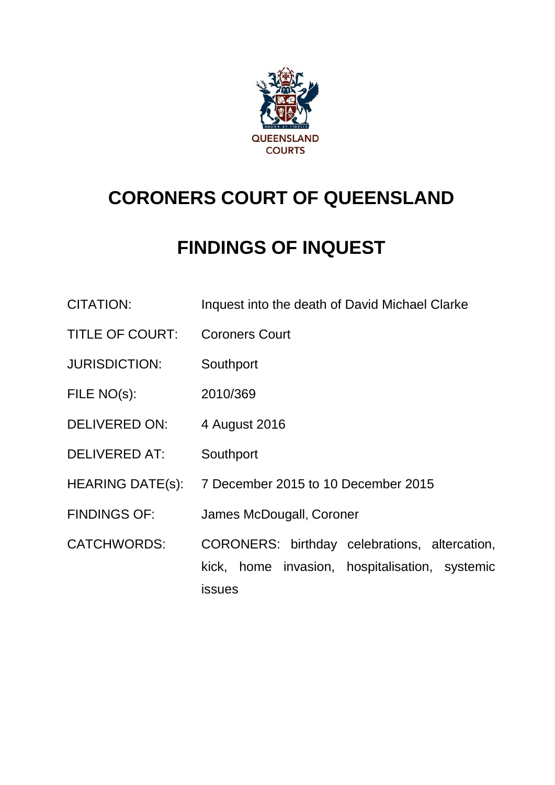

# **CORONERS COURT OF QUEENSLAND**

# **FINDINGS OF INQUEST**

- CITATION: Inquest into the death of David Michael Clarke
- TITLE OF COURT: Coroners Court
- JURISDICTION: Southport
- FILE NO(s): 2010/369
- DELIVERED ON: 4 August 2016
- DELIVERED AT: Southport
- HEARING DATE(s): 7 December 2015 to 10 December 2015
- FINDINGS OF: James McDougall, Coroner
- CATCHWORDS: CORONERS: birthday celebrations, altercation, kick, home invasion, hospitalisation, systemic issues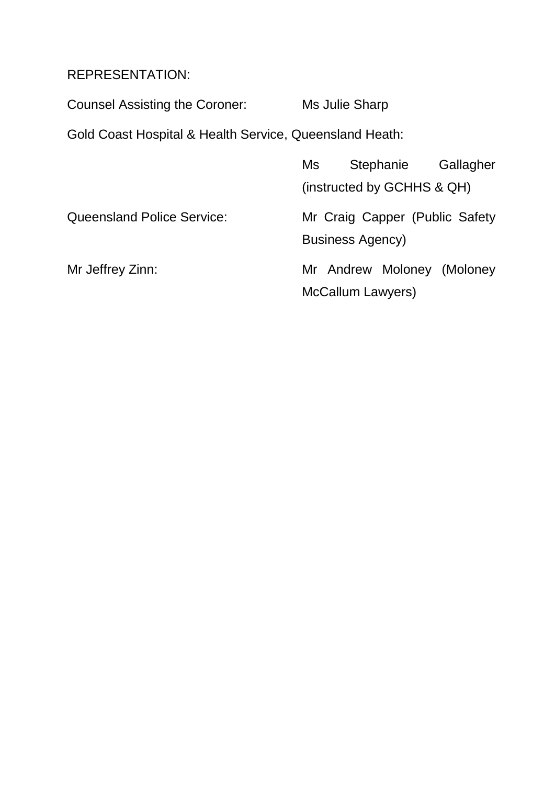## REPRESENTATION:

Counsel Assisting the Coroner: Ms Julie Sharp

Gold Coast Hospital & Health Service, Queensland Heath:

|                                   | Ms                         |                         | Stephanie | Gallagher                      |
|-----------------------------------|----------------------------|-------------------------|-----------|--------------------------------|
|                                   | (instructed by GCHHS & QH) |                         |           |                                |
| <b>Queensland Police Service:</b> |                            | <b>Business Agency)</b> |           | Mr Craig Capper (Public Safety |
| Mr Jeffrey Zinn:                  |                            | McCallum Lawyers)       |           | Mr Andrew Moloney (Moloney     |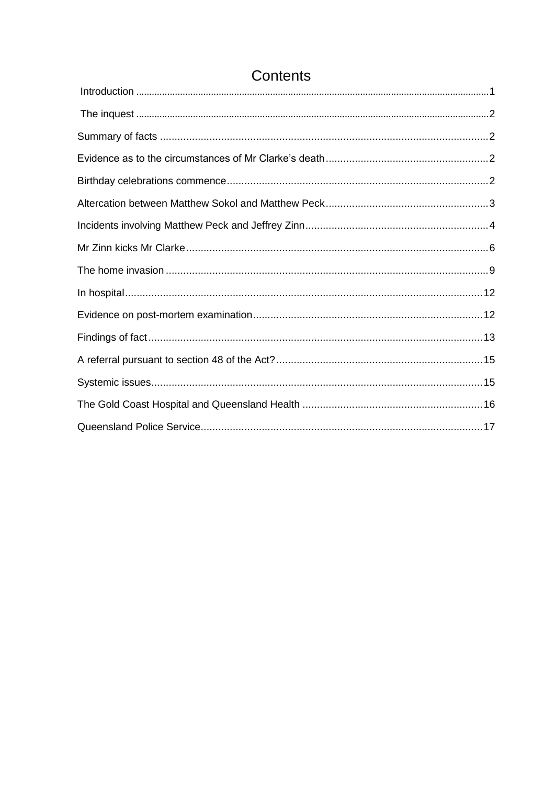# Contents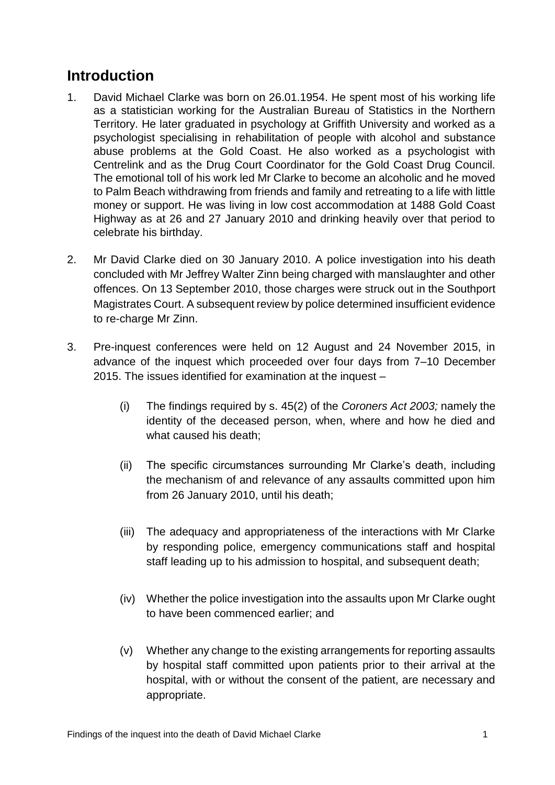# <span id="page-3-0"></span>**Introduction**

- 1. David Michael Clarke was born on 26.01.1954. He spent most of his working life as a statistician working for the Australian Bureau of Statistics in the Northern Territory. He later graduated in psychology at Griffith University and worked as a psychologist specialising in rehabilitation of people with alcohol and substance abuse problems at the Gold Coast. He also worked as a psychologist with Centrelink and as the Drug Court Coordinator for the Gold Coast Drug Council. The emotional toll of his work led Mr Clarke to become an alcoholic and he moved to Palm Beach withdrawing from friends and family and retreating to a life with little money or support. He was living in low cost accommodation at 1488 Gold Coast Highway as at 26 and 27 January 2010 and drinking heavily over that period to celebrate his birthday.
- 2. Mr David Clarke died on 30 January 2010. A police investigation into his death concluded with Mr Jeffrey Walter Zinn being charged with manslaughter and other offences. On 13 September 2010, those charges were struck out in the Southport Magistrates Court. A subsequent review by police determined insufficient evidence to re-charge Mr Zinn.
- 3. Pre-inquest conferences were held on 12 August and 24 November 2015, in advance of the inquest which proceeded over four days from 7–10 December 2015. The issues identified for examination at the inquest –
	- (i) The findings required by s. 45(2) of the *Coroners Act 2003;* namely the identity of the deceased person, when, where and how he died and what caused his death;
	- (ii) The specific circumstances surrounding Mr Clarke's death, including the mechanism of and relevance of any assaults committed upon him from 26 January 2010, until his death;
	- (iii) The adequacy and appropriateness of the interactions with Mr Clarke by responding police, emergency communications staff and hospital staff leading up to his admission to hospital, and subsequent death;
	- (iv) Whether the police investigation into the assaults upon Mr Clarke ought to have been commenced earlier; and
	- (v) Whether any change to the existing arrangements for reporting assaults by hospital staff committed upon patients prior to their arrival at the hospital, with or without the consent of the patient, are necessary and appropriate.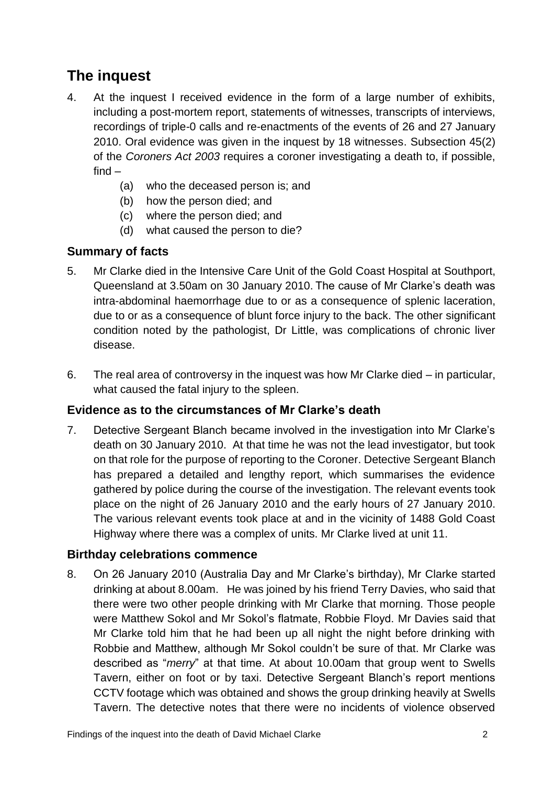# <span id="page-4-0"></span>**The inquest**

- 4. At the inquest I received evidence in the form of a large number of exhibits, including a post-mortem report, statements of witnesses, transcripts of interviews, recordings of triple-0 calls and re-enactments of the events of 26 and 27 January 2010. Oral evidence was given in the inquest by 18 witnesses. Subsection 45(2) of the *Coroners Act 2003* requires a coroner investigating a death to, if possible, find –
	- (a) who the deceased person is; and
	- (b) how the person died; and
	- (c) where the person died; and
	- (d) what caused the person to die?

## <span id="page-4-1"></span>**Summary of facts**

- 5. Mr Clarke died in the Intensive Care Unit of the Gold Coast Hospital at Southport, Queensland at 3.50am on 30 January 2010. The cause of Mr Clarke's death was intra-abdominal haemorrhage due to or as a consequence of splenic laceration, due to or as a consequence of blunt force injury to the back. The other significant condition noted by the pathologist, Dr Little, was complications of chronic liver disease.
- 6. The real area of controversy in the inquest was how Mr Clarke died in particular, what caused the fatal injury to the spleen.

## <span id="page-4-2"></span>**Evidence as to the circumstances of Mr Clarke's death**

7. Detective Sergeant Blanch became involved in the investigation into Mr Clarke's death on 30 January 2010. At that time he was not the lead investigator, but took on that role for the purpose of reporting to the Coroner. Detective Sergeant Blanch has prepared a detailed and lengthy report, which summarises the evidence gathered by police during the course of the investigation. The relevant events took place on the night of 26 January 2010 and the early hours of 27 January 2010. The various relevant events took place at and in the vicinity of 1488 Gold Coast Highway where there was a complex of units. Mr Clarke lived at unit 11.

#### <span id="page-4-3"></span>**Birthday celebrations commence**

8. On 26 January 2010 (Australia Day and Mr Clarke's birthday), Mr Clarke started drinking at about 8.00am. He was joined by his friend Terry Davies, who said that there were two other people drinking with Mr Clarke that morning. Those people were Matthew Sokol and Mr Sokol's flatmate, Robbie Floyd. Mr Davies said that Mr Clarke told him that he had been up all night the night before drinking with Robbie and Matthew, although Mr Sokol couldn't be sure of that. Mr Clarke was described as "*merry*" at that time. At about 10.00am that group went to Swells Tavern, either on foot or by taxi. Detective Sergeant Blanch's report mentions CCTV footage which was obtained and shows the group drinking heavily at Swells Tavern. The detective notes that there were no incidents of violence observed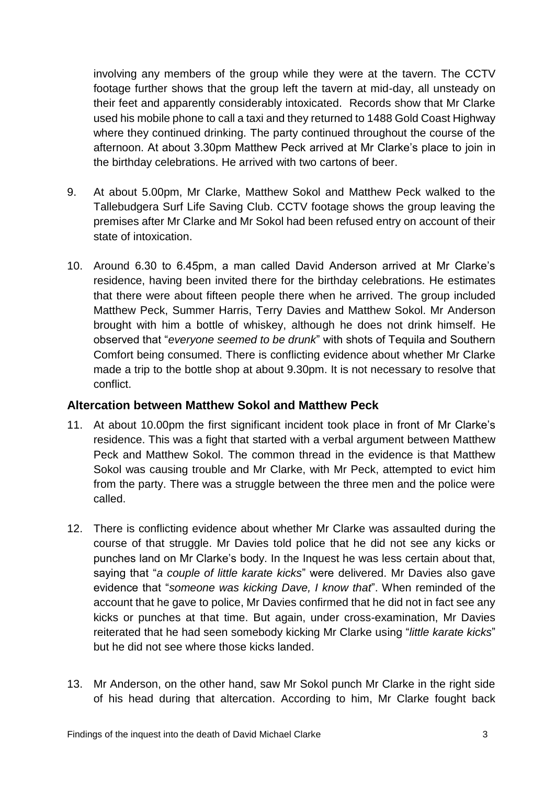involving any members of the group while they were at the tavern. The CCTV footage further shows that the group left the tavern at mid-day, all unsteady on their feet and apparently considerably intoxicated. Records show that Mr Clarke used his mobile phone to call a taxi and they returned to 1488 Gold Coast Highway where they continued drinking. The party continued throughout the course of the afternoon. At about 3.30pm Matthew Peck arrived at Mr Clarke's place to join in the birthday celebrations. He arrived with two cartons of beer.

- 9. At about 5.00pm, Mr Clarke, Matthew Sokol and Matthew Peck walked to the Tallebudgera Surf Life Saving Club. CCTV footage shows the group leaving the premises after Mr Clarke and Mr Sokol had been refused entry on account of their state of intoxication.
- 10. Around 6.30 to 6.45pm, a man called David Anderson arrived at Mr Clarke's residence, having been invited there for the birthday celebrations. He estimates that there were about fifteen people there when he arrived. The group included Matthew Peck, Summer Harris, Terry Davies and Matthew Sokol. Mr Anderson brought with him a bottle of whiskey, although he does not drink himself. He observed that "*everyone seemed to be drunk*" with shots of Tequila and Southern Comfort being consumed. There is conflicting evidence about whether Mr Clarke made a trip to the bottle shop at about 9.30pm. It is not necessary to resolve that conflict.

#### <span id="page-5-0"></span>**Altercation between Matthew Sokol and Matthew Peck**

- 11. At about 10.00pm the first significant incident took place in front of Mr Clarke's residence. This was a fight that started with a verbal argument between Matthew Peck and Matthew Sokol. The common thread in the evidence is that Matthew Sokol was causing trouble and Mr Clarke, with Mr Peck, attempted to evict him from the party. There was a struggle between the three men and the police were called.
- 12. There is conflicting evidence about whether Mr Clarke was assaulted during the course of that struggle. Mr Davies told police that he did not see any kicks or punches land on Mr Clarke's body. In the Inquest he was less certain about that, saying that "*a couple of little karate kicks*" were delivered. Mr Davies also gave evidence that "*someone was kicking Dave, I know that*". When reminded of the account that he gave to police, Mr Davies confirmed that he did not in fact see any kicks or punches at that time. But again, under cross-examination, Mr Davies reiterated that he had seen somebody kicking Mr Clarke using "*little karate kicks*" but he did not see where those kicks landed.
- 13. Mr Anderson, on the other hand, saw Mr Sokol punch Mr Clarke in the right side of his head during that altercation. According to him, Mr Clarke fought back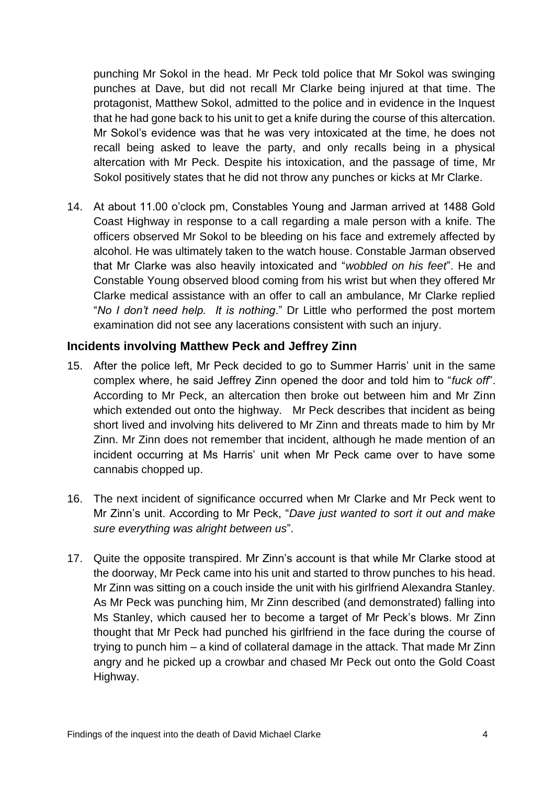punching Mr Sokol in the head. Mr Peck told police that Mr Sokol was swinging punches at Dave, but did not recall Mr Clarke being injured at that time. The protagonist, Matthew Sokol, admitted to the police and in evidence in the Inquest that he had gone back to his unit to get a knife during the course of this altercation. Mr Sokol's evidence was that he was very intoxicated at the time, he does not recall being asked to leave the party, and only recalls being in a physical altercation with Mr Peck. Despite his intoxication, and the passage of time, Mr Sokol positively states that he did not throw any punches or kicks at Mr Clarke.

14. At about 11.00 o'clock pm, Constables Young and Jarman arrived at 1488 Gold Coast Highway in response to a call regarding a male person with a knife. The officers observed Mr Sokol to be bleeding on his face and extremely affected by alcohol. He was ultimately taken to the watch house. Constable Jarman observed that Mr Clarke was also heavily intoxicated and "*wobbled on his feet*". He and Constable Young observed blood coming from his wrist but when they offered Mr Clarke medical assistance with an offer to call an ambulance, Mr Clarke replied "*No I don't need help. It is nothing*." Dr Little who performed the post mortem examination did not see any lacerations consistent with such an injury.

#### <span id="page-6-0"></span>**Incidents involving Matthew Peck and Jeffrey Zinn**

- 15. After the police left, Mr Peck decided to go to Summer Harris' unit in the same complex where, he said Jeffrey Zinn opened the door and told him to "*fuck off*". According to Mr Peck, an altercation then broke out between him and Mr Zinn which extended out onto the highway. Mr Peck describes that incident as being short lived and involving hits delivered to Mr Zinn and threats made to him by Mr Zinn. Mr Zinn does not remember that incident, although he made mention of an incident occurring at Ms Harris' unit when Mr Peck came over to have some cannabis chopped up.
- 16. The next incident of significance occurred when Mr Clarke and Mr Peck went to Mr Zinn's unit. According to Mr Peck, "*Dave just wanted to sort it out and make sure everything was alright between us*".
- 17. Quite the opposite transpired. Mr Zinn's account is that while Mr Clarke stood at the doorway, Mr Peck came into his unit and started to throw punches to his head. Mr Zinn was sitting on a couch inside the unit with his girlfriend Alexandra Stanley. As Mr Peck was punching him, Mr Zinn described (and demonstrated) falling into Ms Stanley, which caused her to become a target of Mr Peck's blows. Mr Zinn thought that Mr Peck had punched his girlfriend in the face during the course of trying to punch him – a kind of collateral damage in the attack. That made Mr Zinn angry and he picked up a crowbar and chased Mr Peck out onto the Gold Coast Highway.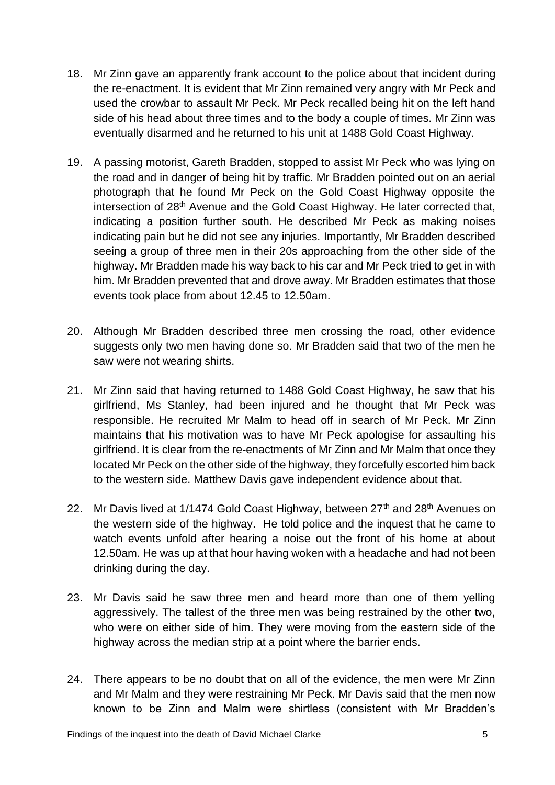- 18. Mr Zinn gave an apparently frank account to the police about that incident during the re-enactment. It is evident that Mr Zinn remained very angry with Mr Peck and used the crowbar to assault Mr Peck. Mr Peck recalled being hit on the left hand side of his head about three times and to the body a couple of times. Mr Zinn was eventually disarmed and he returned to his unit at 1488 Gold Coast Highway.
- 19. A passing motorist, Gareth Bradden, stopped to assist Mr Peck who was lying on the road and in danger of being hit by traffic. Mr Bradden pointed out on an aerial photograph that he found Mr Peck on the Gold Coast Highway opposite the intersection of 28<sup>th</sup> Avenue and the Gold Coast Highway. He later corrected that, indicating a position further south. He described Mr Peck as making noises indicating pain but he did not see any injuries. Importantly, Mr Bradden described seeing a group of three men in their 20s approaching from the other side of the highway. Mr Bradden made his way back to his car and Mr Peck tried to get in with him. Mr Bradden prevented that and drove away. Mr Bradden estimates that those events took place from about 12.45 to 12.50am.
- 20. Although Mr Bradden described three men crossing the road, other evidence suggests only two men having done so. Mr Bradden said that two of the men he saw were not wearing shirts.
- 21. Mr Zinn said that having returned to 1488 Gold Coast Highway, he saw that his girlfriend, Ms Stanley, had been injured and he thought that Mr Peck was responsible. He recruited Mr Malm to head off in search of Mr Peck. Mr Zinn maintains that his motivation was to have Mr Peck apologise for assaulting his girlfriend. It is clear from the re-enactments of Mr Zinn and Mr Malm that once they located Mr Peck on the other side of the highway, they forcefully escorted him back to the western side. Matthew Davis gave independent evidence about that.
- 22. Mr Davis lived at 1/1474 Gold Coast Highway, between 27<sup>th</sup> and 28<sup>th</sup> Avenues on the western side of the highway. He told police and the inquest that he came to watch events unfold after hearing a noise out the front of his home at about 12.50am. He was up at that hour having woken with a headache and had not been drinking during the day.
- 23. Mr Davis said he saw three men and heard more than one of them yelling aggressively. The tallest of the three men was being restrained by the other two, who were on either side of him. They were moving from the eastern side of the highway across the median strip at a point where the barrier ends.
- 24. There appears to be no doubt that on all of the evidence, the men were Mr Zinn and Mr Malm and they were restraining Mr Peck. Mr Davis said that the men now known to be Zinn and Malm were shirtless (consistent with Mr Bradden's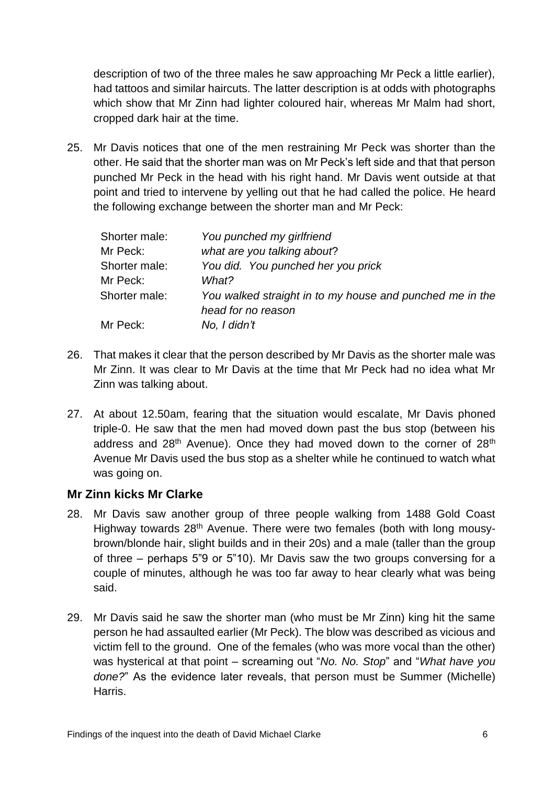description of two of the three males he saw approaching Mr Peck a little earlier), had tattoos and similar haircuts. The latter description is at odds with photographs which show that Mr Zinn had lighter coloured hair, whereas Mr Malm had short, cropped dark hair at the time.

25. Mr Davis notices that one of the men restraining Mr Peck was shorter than the other. He said that the shorter man was on Mr Peck's left side and that that person punched Mr Peck in the head with his right hand. Mr Davis went outside at that point and tried to intervene by yelling out that he had called the police. He heard the following exchange between the shorter man and Mr Peck:

| Shorter male: | You punched my girlfriend                                                      |
|---------------|--------------------------------------------------------------------------------|
| Mr Peck:      | what are you talking about?                                                    |
| Shorter male: | You did. You punched her you prick                                             |
| Mr Peck:      | What?                                                                          |
| Shorter male: | You walked straight in to my house and punched me in the<br>head for no reason |
| Mr Peck:      | No, I didn't                                                                   |

- 26. That makes it clear that the person described by Mr Davis as the shorter male was Mr Zinn. It was clear to Mr Davis at the time that Mr Peck had no idea what Mr Zinn was talking about.
- 27. At about 12.50am, fearing that the situation would escalate, Mr Davis phoned triple-0. He saw that the men had moved down past the bus stop (between his address and  $28<sup>th</sup>$  Avenue). Once they had moved down to the corner of  $28<sup>th</sup>$ Avenue Mr Davis used the bus stop as a shelter while he continued to watch what was going on.

#### <span id="page-8-0"></span>**Mr Zinn kicks Mr Clarke**

- 28. Mr Davis saw another group of three people walking from 1488 Gold Coast Highway towards 28<sup>th</sup> Avenue. There were two females (both with long mousybrown/blonde hair, slight builds and in their 20s) and a male (taller than the group of three – perhaps 5"9 or 5"10). Mr Davis saw the two groups conversing for a couple of minutes, although he was too far away to hear clearly what was being said.
- 29. Mr Davis said he saw the shorter man (who must be Mr Zinn) king hit the same person he had assaulted earlier (Mr Peck). The blow was described as vicious and victim fell to the ground. One of the females (who was more vocal than the other) was hysterical at that point – screaming out "*No. No. Stop*" and "*What have you done?*" As the evidence later reveals, that person must be Summer (Michelle) Harris.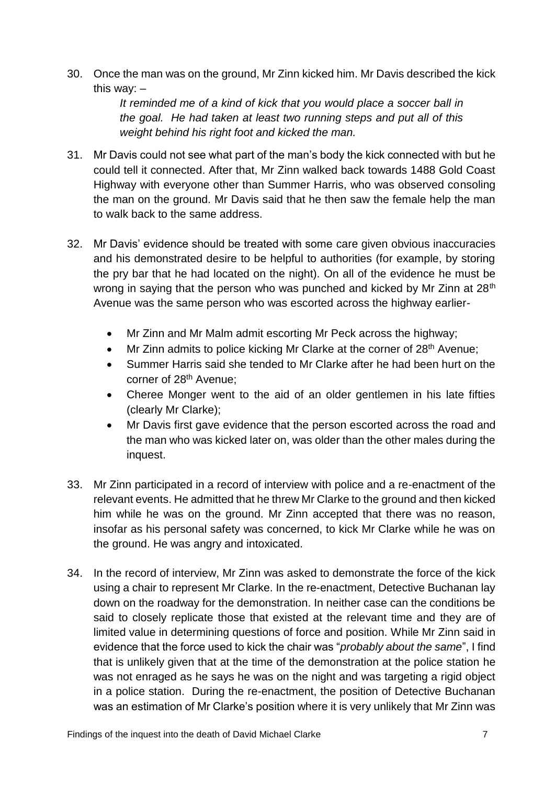30. Once the man was on the ground, Mr Zinn kicked him. Mr Davis described the kick this way: –

> *It reminded me of a kind of kick that you would place a soccer ball in the goal. He had taken at least two running steps and put all of this weight behind his right foot and kicked the man.*

- 31. Mr Davis could not see what part of the man's body the kick connected with but he could tell it connected. After that, Mr Zinn walked back towards 1488 Gold Coast Highway with everyone other than Summer Harris, who was observed consoling the man on the ground. Mr Davis said that he then saw the female help the man to walk back to the same address.
- 32. Mr Davis' evidence should be treated with some care given obvious inaccuracies and his demonstrated desire to be helpful to authorities (for example, by storing the pry bar that he had located on the night). On all of the evidence he must be wrong in saying that the person who was punched and kicked by Mr Zinn at 28<sup>th</sup> Avenue was the same person who was escorted across the highway earlier-
	- Mr Zinn and Mr Malm admit escorting Mr Peck across the highway;
	- Mr Zinn admits to police kicking Mr Clarke at the corner of 28<sup>th</sup> Avenue;
	- Summer Harris said she tended to Mr Clarke after he had been hurt on the corner of 28<sup>th</sup> Avenue;
	- Cheree Monger went to the aid of an older gentlemen in his late fifties (clearly Mr Clarke);
	- Mr Davis first gave evidence that the person escorted across the road and the man who was kicked later on, was older than the other males during the inquest.
- 33. Mr Zinn participated in a record of interview with police and a re-enactment of the relevant events. He admitted that he threw Mr Clarke to the ground and then kicked him while he was on the ground. Mr Zinn accepted that there was no reason, insofar as his personal safety was concerned, to kick Mr Clarke while he was on the ground. He was angry and intoxicated.
- 34. In the record of interview, Mr Zinn was asked to demonstrate the force of the kick using a chair to represent Mr Clarke. In the re-enactment, Detective Buchanan lay down on the roadway for the demonstration. In neither case can the conditions be said to closely replicate those that existed at the relevant time and they are of limited value in determining questions of force and position. While Mr Zinn said in evidence that the force used to kick the chair was "*probably about the same*", I find that is unlikely given that at the time of the demonstration at the police station he was not enraged as he says he was on the night and was targeting a rigid object in a police station. During the re-enactment, the position of Detective Buchanan was an estimation of Mr Clarke's position where it is very unlikely that Mr Zinn was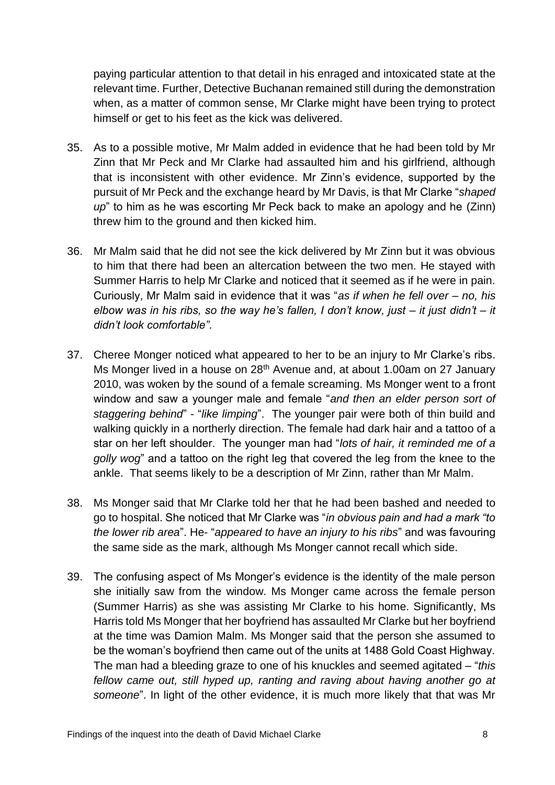paying particular attention to that detail in his enraged and intoxicated state at the relevant time. Further, Detective Buchanan remained still during the demonstration when, as a matter of common sense, Mr Clarke might have been trying to protect himself or get to his feet as the kick was delivered.

- 35. As to a possible motive, Mr Malm added in evidence that he had been told by Mr Zinn that Mr Peck and Mr Clarke had assaulted him and his girlfriend, although that is inconsistent with other evidence. Mr Zinn's evidence, supported by the pursuit of Mr Peck and the exchange heard by Mr Davis, is that Mr Clarke "*shaped up*" to him as he was escorting Mr Peck back to make an apology and he (Zinn) threw him to the ground and then kicked him.
- 36. Mr Malm said that he did not see the kick delivered by Mr Zinn but it was obvious to him that there had been an altercation between the two men. He stayed with Summer Harris to help Mr Clarke and noticed that it seemed as if he were in pain. Curiously, Mr Malm said in evidence that it was "*as if when he fell over – no, his elbow was in his ribs, so the way he's fallen, I don't know, just – it just didn't – it didn't look comfortable"*.
- 37. Cheree Monger noticed what appeared to her to be an injury to Mr Clarke's ribs. Ms Monger lived in a house on 28<sup>th</sup> Avenue and, at about 1.00am on 27 January 2010, was woken by the sound of a female screaming. Ms Monger went to a front window and saw a younger male and female "*and then an elder person sort of staggering behind*" - "*like limping*". The younger pair were both of thin build and walking quickly in a northerly direction. The female had dark hair and a tattoo of a star on her left shoulder. The younger man had "*lots of hair, it reminded me of a golly wog*" and a tattoo on the right leg that covered the leg from the knee to the ankle. That seems likely to be a description of Mr Zinn, rather than Mr Malm.
- 38. Ms Monger said that Mr Clarke told her that he had been bashed and needed to go to hospital. She noticed that Mr Clarke was "*in obvious pain and had a mark "to the lower rib area*". He- "*appeared to have an injury to his ribs*" and was favouring the same side as the mark, although Ms Monger cannot recall which side.
- 39. The confusing aspect of Ms Monger's evidence is the identity of the male person she initially saw from the window. Ms Monger came across the female person (Summer Harris) as she was assisting Mr Clarke to his home. Significantly, Ms Harris told Ms Monger that her boyfriend has assaulted Mr Clarke but her boyfriend at the time was Damion Malm. Ms Monger said that the person she assumed to be the woman's boyfriend then came out of the units at 1488 Gold Coast Highway. The man had a bleeding graze to one of his knuckles and seemed agitated – "*this fellow came out, still hyped up, ranting and raving about having another go at someone*". In light of the other evidence, it is much more likely that that was Mr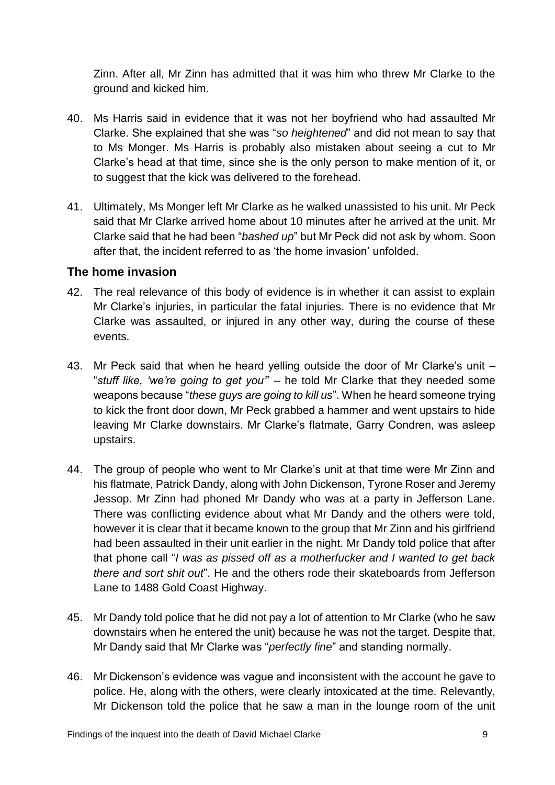Zinn. After all, Mr Zinn has admitted that it was him who threw Mr Clarke to the ground and kicked him.

- 40. Ms Harris said in evidence that it was not her boyfriend who had assaulted Mr Clarke. She explained that she was "*so heightened*" and did not mean to say that to Ms Monger. Ms Harris is probably also mistaken about seeing a cut to Mr Clarke's head at that time, since she is the only person to make mention of it, or to suggest that the kick was delivered to the forehead.
- 41. Ultimately, Ms Monger left Mr Clarke as he walked unassisted to his unit. Mr Peck said that Mr Clarke arrived home about 10 minutes after he arrived at the unit. Mr Clarke said that he had been "*bashed up*" but Mr Peck did not ask by whom. Soon after that, the incident referred to as 'the home invasion' unfolded.

#### <span id="page-11-0"></span>**The home invasion**

- 42. The real relevance of this body of evidence is in whether it can assist to explain Mr Clarke's injuries, in particular the fatal injuries. There is no evidence that Mr Clarke was assaulted, or injured in any other way, during the course of these events.
- 43. Mr Peck said that when he heard yelling outside the door of Mr Clarke's unit "*stuff like, 'we're going to get you'*" – he told Mr Clarke that they needed some weapons because "*these guys are going to kill us*". When he heard someone trying to kick the front door down, Mr Peck grabbed a hammer and went upstairs to hide leaving Mr Clarke downstairs. Mr Clarke's flatmate, Garry Condren, was asleep upstairs.
- 44. The group of people who went to Mr Clarke's unit at that time were Mr Zinn and his flatmate, Patrick Dandy, along with John Dickenson, Tyrone Roser and Jeremy Jessop. Mr Zinn had phoned Mr Dandy who was at a party in Jefferson Lane. There was conflicting evidence about what Mr Dandy and the others were told, however it is clear that it became known to the group that Mr Zinn and his girlfriend had been assaulted in their unit earlier in the night. Mr Dandy told police that after that phone call "*I was as pissed off as a motherfucker and I wanted to get back there and sort shit out*". He and the others rode their skateboards from Jefferson Lane to 1488 Gold Coast Highway.
- 45. Mr Dandy told police that he did not pay a lot of attention to Mr Clarke (who he saw downstairs when he entered the unit) because he was not the target. Despite that, Mr Dandy said that Mr Clarke was "*perfectly fine*" and standing normally.
- 46. Mr Dickenson's evidence was vague and inconsistent with the account he gave to police. He, along with the others, were clearly intoxicated at the time. Relevantly, Mr Dickenson told the police that he saw a man in the lounge room of the unit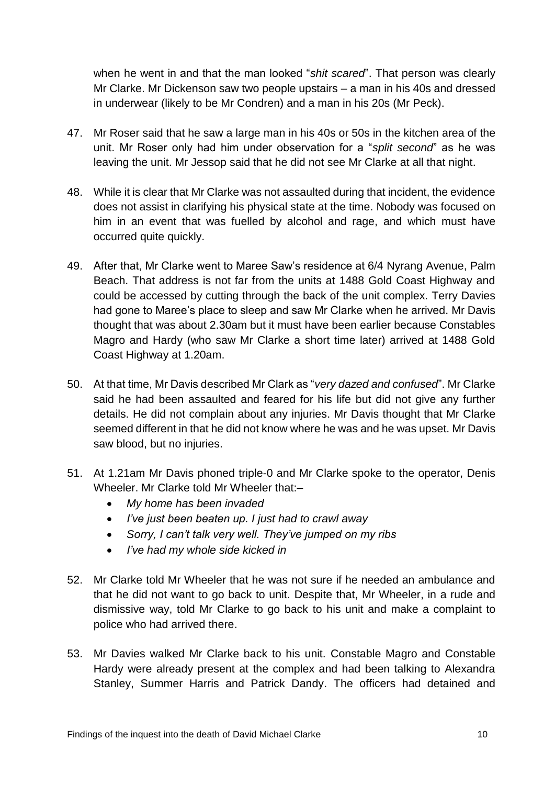when he went in and that the man looked "*shit scared*". That person was clearly Mr Clarke. Mr Dickenson saw two people upstairs – a man in his 40s and dressed in underwear (likely to be Mr Condren) and a man in his 20s (Mr Peck).

- 47. Mr Roser said that he saw a large man in his 40s or 50s in the kitchen area of the unit. Mr Roser only had him under observation for a "*split second*" as he was leaving the unit. Mr Jessop said that he did not see Mr Clarke at all that night.
- 48. While it is clear that Mr Clarke was not assaulted during that incident, the evidence does not assist in clarifying his physical state at the time. Nobody was focused on him in an event that was fuelled by alcohol and rage, and which must have occurred quite quickly.
- 49. After that, Mr Clarke went to Maree Saw's residence at 6/4 Nyrang Avenue, Palm Beach. That address is not far from the units at 1488 Gold Coast Highway and could be accessed by cutting through the back of the unit complex. Terry Davies had gone to Maree's place to sleep and saw Mr Clarke when he arrived. Mr Davis thought that was about 2.30am but it must have been earlier because Constables Magro and Hardy (who saw Mr Clarke a short time later) arrived at 1488 Gold Coast Highway at 1.20am.
- 50. At that time, Mr Davis described Mr Clark as "*very dazed and confused*". Mr Clarke said he had been assaulted and feared for his life but did not give any further details. He did not complain about any injuries. Mr Davis thought that Mr Clarke seemed different in that he did not know where he was and he was upset. Mr Davis saw blood, but no injuries.
- 51. At 1.21am Mr Davis phoned triple-0 and Mr Clarke spoke to the operator, Denis Wheeler. Mr Clarke told Mr Wheeler that:–
	- *My home has been invaded*
	- *I've just been beaten up. I just had to crawl away*
	- *Sorry, I can't talk very well. They've jumped on my ribs*
	- *I've had my whole side kicked in*
- 52. Mr Clarke told Mr Wheeler that he was not sure if he needed an ambulance and that he did not want to go back to unit. Despite that, Mr Wheeler, in a rude and dismissive way, told Mr Clarke to go back to his unit and make a complaint to police who had arrived there.
- 53. Mr Davies walked Mr Clarke back to his unit. Constable Magro and Constable Hardy were already present at the complex and had been talking to Alexandra Stanley, Summer Harris and Patrick Dandy. The officers had detained and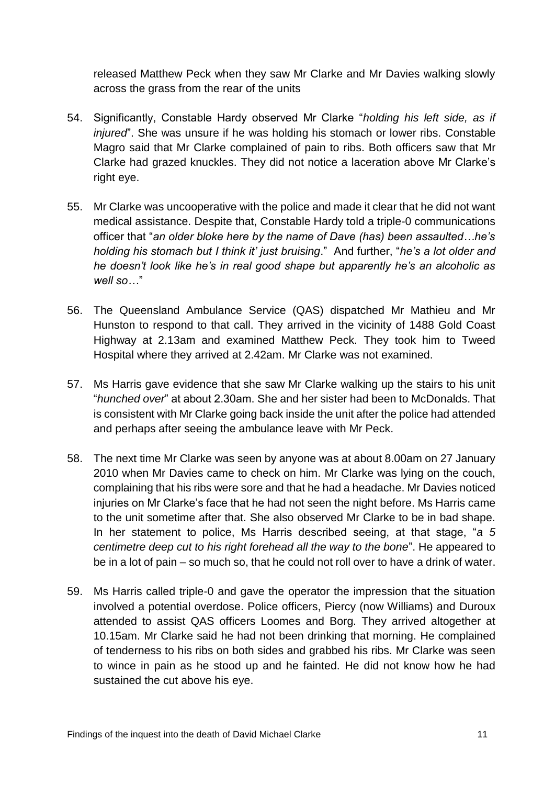released Matthew Peck when they saw Mr Clarke and Mr Davies walking slowly across the grass from the rear of the units

- 54. Significantly, Constable Hardy observed Mr Clarke "*holding his left side, as if injured*". She was unsure if he was holding his stomach or lower ribs. Constable Magro said that Mr Clarke complained of pain to ribs. Both officers saw that Mr Clarke had grazed knuckles. They did not notice a laceration above Mr Clarke's right eye.
- 55. Mr Clarke was uncooperative with the police and made it clear that he did not want medical assistance. Despite that, Constable Hardy told a triple-0 communications officer that "*an older bloke here by the name of Dave (has) been assaulted…he's holding his stomach but I think it' just bruising*." And further, "*he's a lot older and he doesn't look like he's in real good shape but apparently he's an alcoholic as well so…*"
- 56. The Queensland Ambulance Service (QAS) dispatched Mr Mathieu and Mr Hunston to respond to that call. They arrived in the vicinity of 1488 Gold Coast Highway at 2.13am and examined Matthew Peck. They took him to Tweed Hospital where they arrived at 2.42am. Mr Clarke was not examined.
- 57. Ms Harris gave evidence that she saw Mr Clarke walking up the stairs to his unit "*hunched over*" at about 2.30am. She and her sister had been to McDonalds. That is consistent with Mr Clarke going back inside the unit after the police had attended and perhaps after seeing the ambulance leave with Mr Peck.
- 58. The next time Mr Clarke was seen by anyone was at about 8.00am on 27 January 2010 when Mr Davies came to check on him. Mr Clarke was lying on the couch, complaining that his ribs were sore and that he had a headache. Mr Davies noticed injuries on Mr Clarke's face that he had not seen the night before. Ms Harris came to the unit sometime after that. She also observed Mr Clarke to be in bad shape. In her statement to police, Ms Harris described seeing, at that stage, "*a 5 centimetre deep cut to his right forehead all the way to the bone*". He appeared to be in a lot of pain – so much so, that he could not roll over to have a drink of water.
- 59. Ms Harris called triple-0 and gave the operator the impression that the situation involved a potential overdose. Police officers, Piercy (now Williams) and Duroux attended to assist QAS officers Loomes and Borg. They arrived altogether at 10.15am. Mr Clarke said he had not been drinking that morning. He complained of tenderness to his ribs on both sides and grabbed his ribs. Mr Clarke was seen to wince in pain as he stood up and he fainted. He did not know how he had sustained the cut above his eye.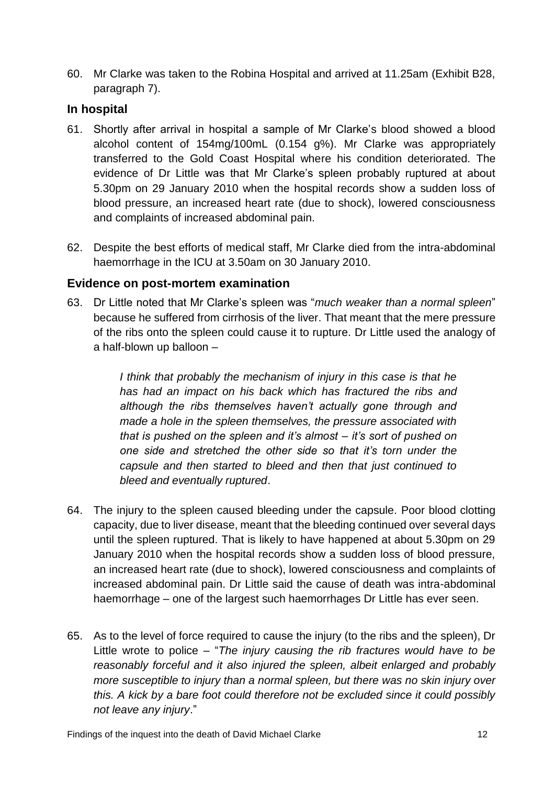60. Mr Clarke was taken to the Robina Hospital and arrived at 11.25am (Exhibit B28, paragraph 7).

#### <span id="page-14-0"></span>**In hospital**

- 61. Shortly after arrival in hospital a sample of Mr Clarke's blood showed a blood alcohol content of 154mg/100mL (0.154 g%). Mr Clarke was appropriately transferred to the Gold Coast Hospital where his condition deteriorated. The evidence of Dr Little was that Mr Clarke's spleen probably ruptured at about 5.30pm on 29 January 2010 when the hospital records show a sudden loss of blood pressure, an increased heart rate (due to shock), lowered consciousness and complaints of increased abdominal pain.
- 62. Despite the best efforts of medical staff, Mr Clarke died from the intra-abdominal haemorrhage in the ICU at 3.50am on 30 January 2010.

#### <span id="page-14-1"></span>**Evidence on post-mortem examination**

63. Dr Little noted that Mr Clarke's spleen was "*much weaker than a normal spleen*" because he suffered from cirrhosis of the liver. That meant that the mere pressure of the ribs onto the spleen could cause it to rupture. Dr Little used the analogy of a half-blown up balloon –

> *I think that probably the mechanism of injury in this case is that he has had an impact on his back which has fractured the ribs and although the ribs themselves haven't actually gone through and made a hole in the spleen themselves, the pressure associated with that is pushed on the spleen and it's almost – it's sort of pushed on one side and stretched the other side so that it's torn under the capsule and then started to bleed and then that just continued to bleed and eventually ruptured*.

- 64. The injury to the spleen caused bleeding under the capsule. Poor blood clotting capacity, due to liver disease, meant that the bleeding continued over several days until the spleen ruptured. That is likely to have happened at about 5.30pm on 29 January 2010 when the hospital records show a sudden loss of blood pressure, an increased heart rate (due to shock), lowered consciousness and complaints of increased abdominal pain. Dr Little said the cause of death was intra-abdominal haemorrhage – one of the largest such haemorrhages Dr Little has ever seen.
- 65. As to the level of force required to cause the injury (to the ribs and the spleen), Dr Little wrote to police – "*The injury causing the rib fractures would have to be reasonably forceful and it also injured the spleen, albeit enlarged and probably more susceptible to injury than a normal spleen, but there was no skin injury over this. A kick by a bare foot could therefore not be excluded since it could possibly not leave any injury*."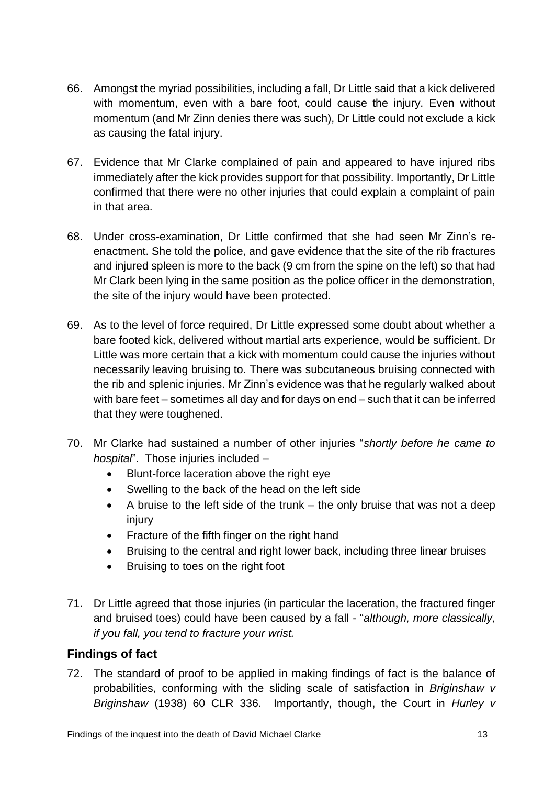- 66. Amongst the myriad possibilities, including a fall, Dr Little said that a kick delivered with momentum, even with a bare foot, could cause the injury. Even without momentum (and Mr Zinn denies there was such), Dr Little could not exclude a kick as causing the fatal injury.
- 67. Evidence that Mr Clarke complained of pain and appeared to have injured ribs immediately after the kick provides support for that possibility. Importantly, Dr Little confirmed that there were no other injuries that could explain a complaint of pain in that area.
- 68. Under cross-examination, Dr Little confirmed that she had seen Mr Zinn's reenactment. She told the police, and gave evidence that the site of the rib fractures and injured spleen is more to the back (9 cm from the spine on the left) so that had Mr Clark been lying in the same position as the police officer in the demonstration, the site of the injury would have been protected.
- 69. As to the level of force required, Dr Little expressed some doubt about whether a bare footed kick, delivered without martial arts experience, would be sufficient. Dr Little was more certain that a kick with momentum could cause the injuries without necessarily leaving bruising to. There was subcutaneous bruising connected with the rib and splenic injuries. Mr Zinn's evidence was that he regularly walked about with bare feet – sometimes all day and for days on end – such that it can be inferred that they were toughened.
- 70. Mr Clarke had sustained a number of other injuries "*shortly before he came to hospital*". Those injuries included –
	- Blunt-force laceration above the right eye
	- Swelling to the back of the head on the left side
	- A bruise to the left side of the trunk the only bruise that was not a deep injury
	- Fracture of the fifth finger on the right hand
	- Bruising to the central and right lower back, including three linear bruises
	- Bruising to toes on the right foot
- 71. Dr Little agreed that those injuries (in particular the laceration, the fractured finger and bruised toes) could have been caused by a fall - "*although, more classically, if you fall, you tend to fracture your wrist.*

## <span id="page-15-0"></span>**Findings of fact**

72. The standard of proof to be applied in making findings of fact is the balance of probabilities, conforming with the sliding scale of satisfaction in *Briginshaw v Briginshaw* (1938) 60 CLR 336. Importantly, though, the Court in *Hurley v*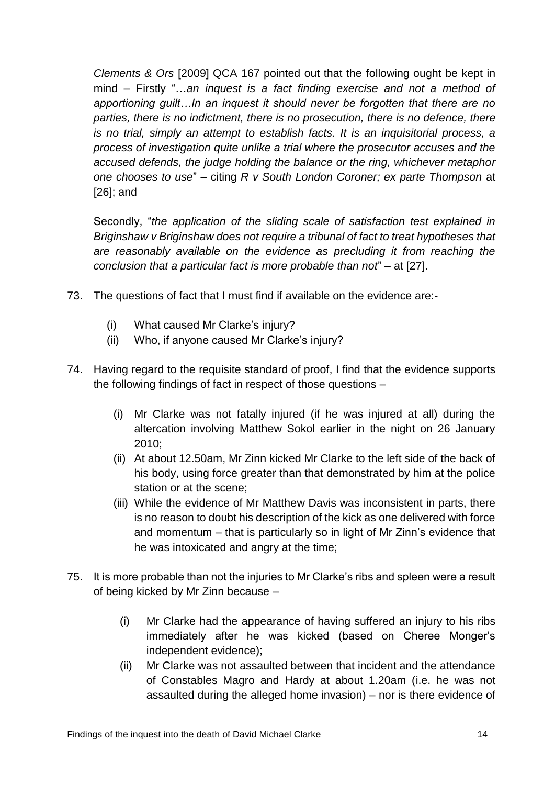*Clements & Ors* [2009] QCA 167 pointed out that the following ought be kept in mind – Firstly "…*an inquest is a fact finding exercise and not a method of apportioning guilt…In an inquest it should never be forgotten that there are no parties, there is no indictment, there is no prosecution, there is no defence, there is no trial, simply an attempt to establish facts. It is an inquisitorial process, a process of investigation quite unlike a trial where the prosecutor accuses and the accused defends, the judge holding the balance or the ring, whichever metaphor one chooses to use*" – citing *R v South London Coroner; ex parte Thompson* at [26]; and

Secondly, "*the application of the sliding scale of satisfaction test explained in Briginshaw v Briginshaw does not require a tribunal of fact to treat hypotheses that are reasonably available on the evidence as precluding it from reaching the conclusion that a particular fact is more probable than not*" – at [27].

- 73. The questions of fact that I must find if available on the evidence are:-
	- (i) What caused Mr Clarke's injury?
	- (ii) Who, if anyone caused Mr Clarke's injury?
- 74. Having regard to the requisite standard of proof, I find that the evidence supports the following findings of fact in respect of those questions –
	- (i) Mr Clarke was not fatally injured (if he was injured at all) during the altercation involving Matthew Sokol earlier in the night on 26 January 2010;
	- (ii) At about 12.50am, Mr Zinn kicked Mr Clarke to the left side of the back of his body, using force greater than that demonstrated by him at the police station or at the scene;
	- (iii) While the evidence of Mr Matthew Davis was inconsistent in parts, there is no reason to doubt his description of the kick as one delivered with force and momentum – that is particularly so in light of Mr Zinn's evidence that he was intoxicated and angry at the time;
- 75. It is more probable than not the injuries to Mr Clarke's ribs and spleen were a result of being kicked by Mr Zinn because –
	- (i) Mr Clarke had the appearance of having suffered an injury to his ribs immediately after he was kicked (based on Cheree Monger's independent evidence);
	- (ii) Mr Clarke was not assaulted between that incident and the attendance of Constables Magro and Hardy at about 1.20am (i.e. he was not assaulted during the alleged home invasion) – nor is there evidence of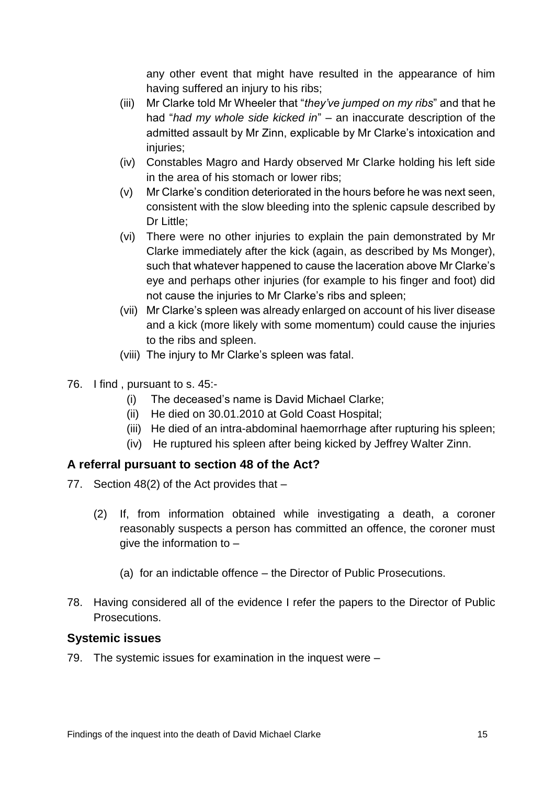any other event that might have resulted in the appearance of him having suffered an injury to his ribs;

- (iii) Mr Clarke told Mr Wheeler that "*they've jumped on my ribs*" and that he had "*had my whole side kicked in*" – an inaccurate description of the admitted assault by Mr Zinn, explicable by Mr Clarke's intoxication and injuries;
- (iv) Constables Magro and Hardy observed Mr Clarke holding his left side in the area of his stomach or lower ribs;
- (v) Mr Clarke's condition deteriorated in the hours before he was next seen, consistent with the slow bleeding into the splenic capsule described by Dr Little;
- (vi) There were no other injuries to explain the pain demonstrated by Mr Clarke immediately after the kick (again, as described by Ms Monger), such that whatever happened to cause the laceration above Mr Clarke's eye and perhaps other injuries (for example to his finger and foot) did not cause the injuries to Mr Clarke's ribs and spleen;
- (vii) Mr Clarke's spleen was already enlarged on account of his liver disease and a kick (more likely with some momentum) could cause the injuries to the ribs and spleen.
- (viii) The injury to Mr Clarke's spleen was fatal.
- 76. I find , pursuant to s. 45:-
	- (i) The deceased's name is David Michael Clarke;
	- (ii) He died on 30.01.2010 at Gold Coast Hospital;
	- (iii) He died of an intra-abdominal haemorrhage after rupturing his spleen;
	- (iv) He ruptured his spleen after being kicked by Jeffrey Walter Zinn.

## <span id="page-17-0"></span>**A referral pursuant to section 48 of the Act?**

- 77. Section 48(2) of the Act provides that
	- (2) If, from information obtained while investigating a death, a coroner reasonably suspects a person has committed an offence, the coroner must give the information to –
		- (a) for an indictable offence the Director of Public Prosecutions.
- 78. Having considered all of the evidence I refer the papers to the Director of Public Prosecutions.

#### <span id="page-17-1"></span>**Systemic issues**

79. The systemic issues for examination in the inquest were –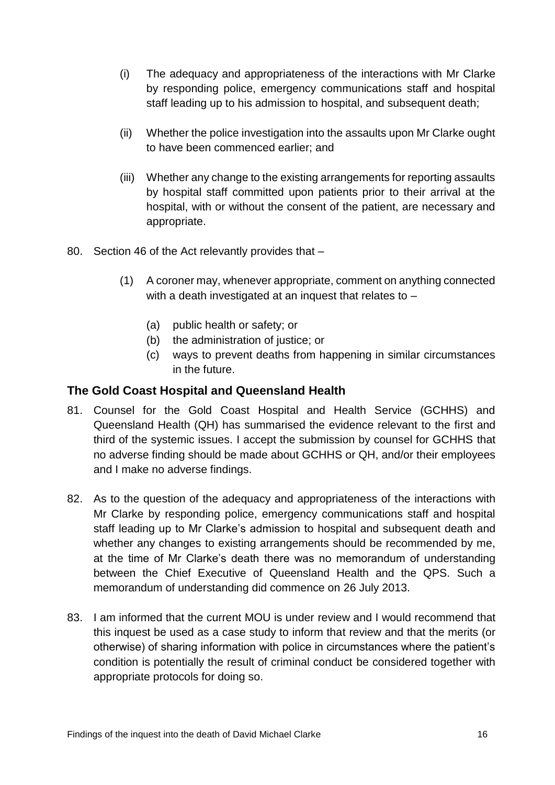- (i) The adequacy and appropriateness of the interactions with Mr Clarke by responding police, emergency communications staff and hospital staff leading up to his admission to hospital, and subsequent death;
- (ii) Whether the police investigation into the assaults upon Mr Clarke ought to have been commenced earlier; and
- (iii) Whether any change to the existing arrangements for reporting assaults by hospital staff committed upon patients prior to their arrival at the hospital, with or without the consent of the patient, are necessary and appropriate.
- 80. Section 46 of the Act relevantly provides that
	- (1) A coroner may, whenever appropriate, comment on anything connected with a death investigated at an inquest that relates to –
		- (a) public health or safety; or
		- (b) the administration of justice; or
		- (c) ways to prevent deaths from happening in similar circumstances in the future.

#### <span id="page-18-0"></span>**The Gold Coast Hospital and Queensland Health**

- 81. Counsel for the Gold Coast Hospital and Health Service (GCHHS) and Queensland Health (QH) has summarised the evidence relevant to the first and third of the systemic issues. I accept the submission by counsel for GCHHS that no adverse finding should be made about GCHHS or QH, and/or their employees and I make no adverse findings.
- 82. As to the question of the adequacy and appropriateness of the interactions with Mr Clarke by responding police, emergency communications staff and hospital staff leading up to Mr Clarke's admission to hospital and subsequent death and whether any changes to existing arrangements should be recommended by me, at the time of Mr Clarke's death there was no memorandum of understanding between the Chief Executive of Queensland Health and the QPS. Such a memorandum of understanding did commence on 26 July 2013.
- 83. I am informed that the current MOU is under review and I would recommend that this inquest be used as a case study to inform that review and that the merits (or otherwise) of sharing information with police in circumstances where the patient's condition is potentially the result of criminal conduct be considered together with appropriate protocols for doing so.